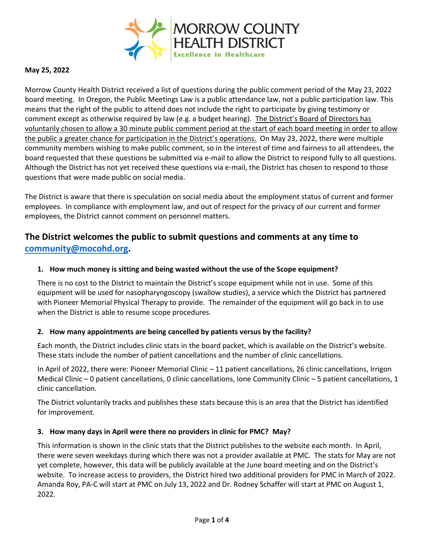

### **May 25, 2022**

Morrow County Health District received a list of questions during the public comment period of the May 23, 2022 board meeting. In Oregon, the Public Meetings Law is a public attendance law, not a public participation law. This means that the right of the public to attend does not include the right to participate by giving testimony or comment except as otherwise required by law (e.g. a budget hearing). The District's Board of Directors has voluntarily chosen to allow a 30 minute public comment period at the start of each board meeting in order to allow the public a greater chance for participation in the District's operations. On May 23, 2022, there were multiple community members wishing to make public comment, so in the interest of time and fairness to all attendees, the board requested that these questions be submitted via e-mail to allow the District to respond fully to all questions. Although the District has not yet received these questions via e-mail, the District has chosen to respond to those questions that were made public on social media.

The District is aware that there is speculation on social media about the employment status of current and former employees. In compliance with employment law, and out of respect for the privacy of our current and former employees, the District cannot comment on personnel matters.

# **The District welcomes the public to submit questions and comments at any time to [community@mocohd.org.](mailto:community@mocohd.org)**

#### **1. How much money is sitting and being wasted without the use of the Scope equipment?**

There is no cost to the District to maintain the District's scope equipment while not in use. Some of this equipment will be used for nasopharyngoscopy (swallow studies), a service which the District has partnered with Pioneer Memorial Physical Therapy to provide. The remainder of the equipment will go back in to use when the District is able to resume scope procedures.

#### **2. How many appointments are being cancelled by patients versus by the facility?**

Each month, the District includes clinic stats in the board packet, which is available on the District's website. These stats include the number of patient cancellations and the number of clinic cancellations.

In April of 2022, there were: Pioneer Memorial Clinic – 11 patient cancellations, 26 clinic cancellations, Irrigon Medical Clinic – 0 patient cancellations, 0 clinic cancellations, Ione Community Clinic – 5 patient cancellations, 1 clinic cancellation.

The District voluntarily tracks and publishes these stats because this is an area that the District has identified for improvement.

#### **3. How many days in April were there no providers in clinic for PMC? May?**

This information is shown in the clinic stats that the District publishes to the website each month. In April, there were seven weekdays during which there was not a provider available at PMC. The stats for May are not yet complete, however, this data will be publicly available at the June board meeting and on the District's website. To increase access to providers, the District hired two additional providers for PMC in March of 2022. Amanda Roy, PA-C will start at PMC on July 13, 2022 and Dr. Rodney Schaffer will start at PMC on August 1, 2022.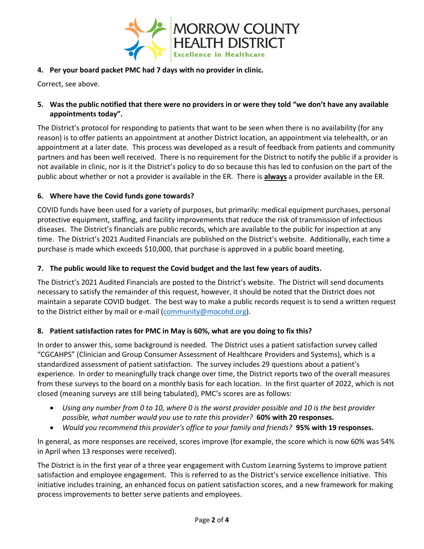

# **4. Per your board packet PMC had 7 days with no provider in clinic.**

Correct, see above.

# **5. Was the public notified that there were no providers in or were they told "we don't have any available appointments today".**

The District's protocol for responding to patients that want to be seen when there is no availability (for any reason) is to offer patients an appointment at another District location, an appointment via telehealth, or an appointment at a later date. This process was developed as a result of feedback from patients and community partners and has been well received. There is no requirement for the District to notify the public if a provider is not available in clinic, nor is it the District's policy to do so because this has led to confusion on the part of the public about whether or not a provider is available in the ER. There is **always** a provider available in the ER.

# **6. Where have the Covid funds gone towards?**

COVID funds have been used for a variety of purposes, but primarily: medical equipment purchases, personal protective equipment, staffing, and facility improvements that reduce the risk of transmission of infectious diseases. The District's financials are public records, which are available to the public for inspection at any time. The District's 2021 Audited Financials are published on the District's website. Additionally, each time a purchase is made which exceeds \$10,000, that purchase is approved in a public board meeting.

# **7. The public would like to request the Covid budget and the last few years of audits.**

The District's 2021 Audited Financials are posted to the District's website. The District will send documents necessary to satisfy the remainder of this request, however, it should be noted that the District does not maintain a separate COVID budget. The best way to make a public records request is to send a written request to the District either by mail or e-mail [\(community@mocohd.org\)](mailto:community@mocohd.org).

#### **8. Patient satisfaction rates for PMC in May is 60%, what are you doing to fix this?**

In order to answer this, some background is needed. The District uses a patient satisfaction survey called "CGCAHPS" (Clinician and Group Consumer Assessment of Healthcare Providers and Systems), which is a standardized assessment of patient satisfaction. The survey includes 29 questions about a patient's experience. In order to meaningfully track change over time, the District reports two of the overall measures from these surveys to the board on a monthly basis for each location. In the first quarter of 2022, which is not closed (meaning surveys are still being tabulated), PMC's scores are as follows:

- *Using any number from 0 to 10, where 0 is the worst provider possible and 10 is the best provider possible, what number would you use to rate this provider?* **60% with 20 responses.**
- *Would you recommend this provider's office to your family and friends?* **95% with 19 responses.**

In general, as more responses are received, scores improve (for example, the score which is now 60% was 54% in April when 13 responses were received).

The District is in the first year of a three year engagement with Custom Learning Systems to improve patient satisfaction and employee engagement. This is referred to as the District's service excellence initiative. This initiative includes training, an enhanced focus on patient satisfaction scores, and a new framework for making process improvements to better serve patients and employees.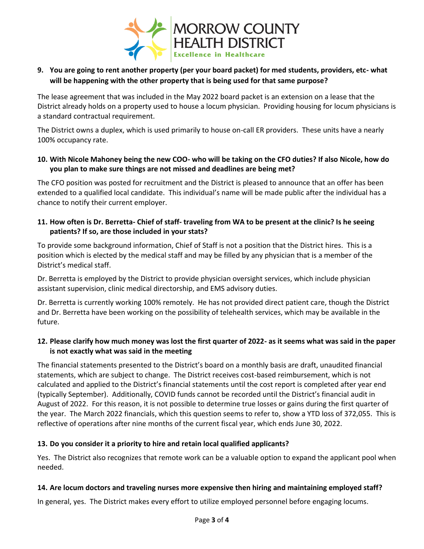

# **9. You are going to rent another property (per your board packet) for med students, providers, etc- what will be happening with the other property that is being used for that same purpose?**

The lease agreement that was included in the May 2022 board packet is an extension on a lease that the District already holds on a property used to house a locum physician. Providing housing for locum physicians is a standard contractual requirement.

The District owns a duplex, which is used primarily to house on-call ER providers. These units have a nearly 100% occupancy rate.

## **10. With Nicole Mahoney being the new COO- who will be taking on the CFO duties? If also Nicole, how do you plan to make sure things are not missed and deadlines are being met?**

The CFO position was posted for recruitment and the District is pleased to announce that an offer has been extended to a qualified local candidate. This individual's name will be made public after the individual has a chance to notify their current employer.

# **11. How often is Dr. Berretta- Chief of staff- traveling from WA to be present at the clinic? Is he seeing patients? If so, are those included in your stats?**

To provide some background information, Chief of Staff is not a position that the District hires. This is a position which is elected by the medical staff and may be filled by any physician that is a member of the District's medical staff.

Dr. Berretta is employed by the District to provide physician oversight services, which include physician assistant supervision, clinic medical directorship, and EMS advisory duties.

Dr. Berretta is currently working 100% remotely. He has not provided direct patient care, though the District and Dr. Berretta have been working on the possibility of telehealth services, which may be available in the future.

# **12. Please clarify how much money was lost the first quarter of 2022- as it seems what was said in the paper is not exactly what was said in the meeting**

The financial statements presented to the District's board on a monthly basis are draft, unaudited financial statements, which are subject to change. The District receives cost-based reimbursement, which is not calculated and applied to the District's financial statements until the cost report is completed after year end (typically September). Additionally, COVID funds cannot be recorded until the District's financial audit in August of 2022. For this reason, it is not possible to determine true losses or gains during the first quarter of the year. The March 2022 financials, which this question seems to refer to, show a YTD loss of 372,055. This is reflective of operations after nine months of the current fiscal year, which ends June 30, 2022.

# **13. Do you consider it a priority to hire and retain local qualified applicants?**

Yes. The District also recognizes that remote work can be a valuable option to expand the applicant pool when needed.

# **14. Are locum doctors and traveling nurses more expensive then hiring and maintaining employed staff?**

In general, yes. The District makes every effort to utilize employed personnel before engaging locums.